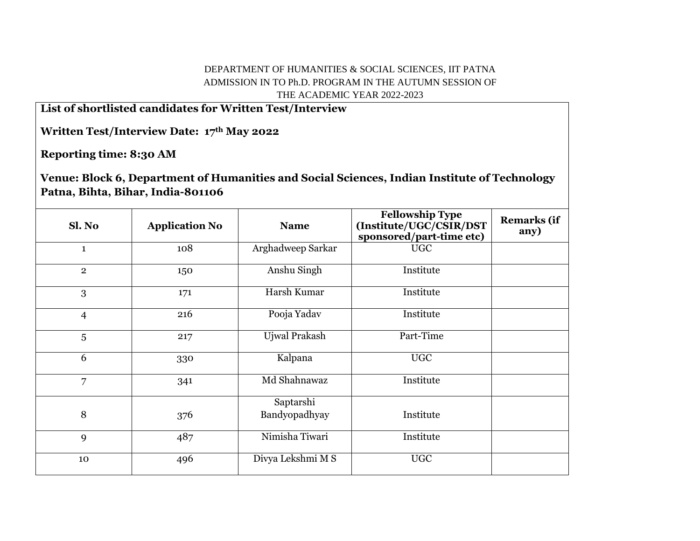## DEPARTMENT OF HUMANITIES & SOCIAL SCIENCES, IIT PATNA ADMISSION IN TO Ph.D. PROGRAM IN THE AUTUMN SESSION OF THE ACADEMIC YEAR 2022-2023

**List of shortlisted candidates for Written Test/Interview**

**Written Test/Interview Date: 17th May 2022**

**Reporting time: 8:30 AM**

**Venue: Block 6, Department of Humanities and Social Sciences, Indian Institute of Technology Patna, Bihta, Bihar, India-801106**

| Sl. No         | <b>Application No</b> | <b>Name</b>                | <b>Fellowship Type</b><br>(Institute/UGC/CSIR/DST<br>sponsored/part-time etc) | <b>Remarks (if</b><br>any) |
|----------------|-----------------------|----------------------------|-------------------------------------------------------------------------------|----------------------------|
| $\mathbf{1}$   | 108                   | Arghadweep Sarkar          | <b>UGC</b>                                                                    |                            |
| $\overline{2}$ | 150                   | Anshu Singh                | Institute                                                                     |                            |
| 3              | 171                   | Harsh Kumar                | Institute                                                                     |                            |
| $\overline{4}$ | 216                   | Pooja Yadav                | Institute                                                                     |                            |
| 5              | 217                   | Ujwal Prakash              | Part-Time                                                                     |                            |
| 6              | 330                   | Kalpana                    | <b>UGC</b>                                                                    |                            |
| $\overline{7}$ | 341                   | Md Shahnawaz               | Institute                                                                     |                            |
| 8              | 376                   | Saptarshi<br>Bandyopadhyay | Institute                                                                     |                            |
| 9              | 487                   | Nimisha Tiwari             | Institute                                                                     |                            |
| 10             | 496                   | Divya Lekshmi M S          | <b>UGC</b>                                                                    |                            |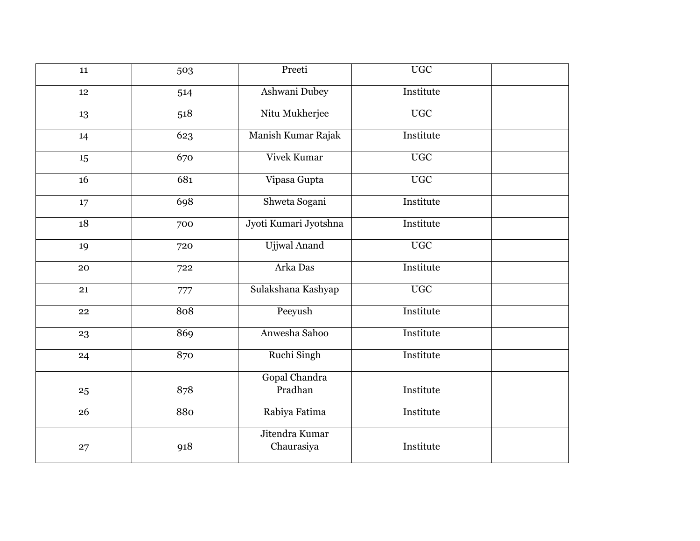| 11 | 503 | Preeti                | $\overline{UGC}$ |  |
|----|-----|-----------------------|------------------|--|
| 12 | 514 | Ashwani Dubey         | Institute        |  |
| 13 | 518 | Nitu Mukherjee        | <b>UGC</b>       |  |
| 14 | 623 | Manish Kumar Rajak    | Institute        |  |
| 15 | 670 | <b>Vivek Kumar</b>    | $\overline{UGC}$ |  |
| 16 | 681 | Vipasa Gupta          | <b>UGC</b>       |  |
| 17 | 698 | Shweta Sogani         | Institute        |  |
| 18 | 700 | Jyoti Kumari Jyotshna | Institute        |  |
| 19 | 720 | <b>Ujjwal Anand</b>   | <b>UGC</b>       |  |
| 20 | 722 | Arka Das              | Institute        |  |
| 21 | 777 | Sulakshana Kashyap    | <b>UGC</b>       |  |
| 22 | 808 | Peeyush               | Institute        |  |
| 23 | 869 | Anwesha Sahoo         | Institute        |  |
| 24 | 870 | Ruchi Singh           | Institute        |  |
|    |     | Gopal Chandra         |                  |  |
| 25 | 878 | Pradhan               | Institute        |  |
| 26 | 880 | Rabiya Fatima         | Institute        |  |
|    |     | Jitendra Kumar        |                  |  |
| 27 | 918 | Chaurasiya            | Institute        |  |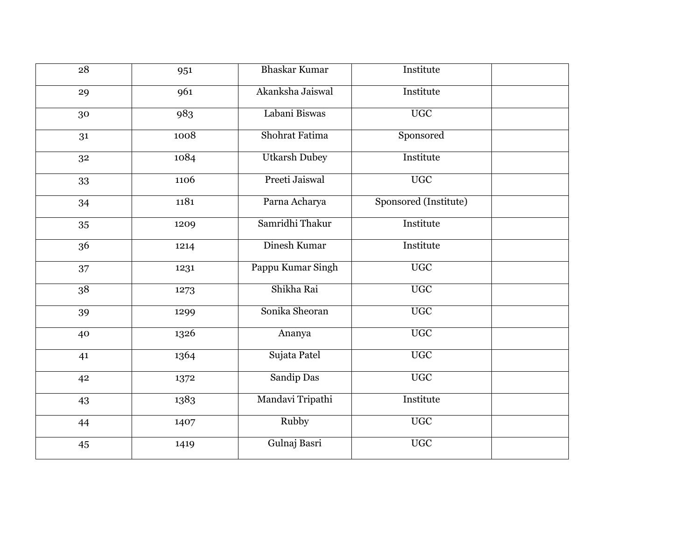| 28 | 951  | <b>Bhaskar Kumar</b> | Institute             |  |
|----|------|----------------------|-----------------------|--|
| 29 | 961  | Akanksha Jaiswal     | Institute             |  |
| 30 | 983  | Labani Biswas        | <b>UGC</b>            |  |
| 31 | 1008 | Shohrat Fatima       | Sponsored             |  |
| 32 | 1084 | <b>Utkarsh Dubey</b> | Institute             |  |
| 33 | 1106 | Preeti Jaiswal       | <b>UGC</b>            |  |
| 34 | 1181 | Parna Acharya        | Sponsored (Institute) |  |
| 35 | 1209 | Samridhi Thakur      | Institute             |  |
| 36 | 1214 | Dinesh Kumar         | Institute             |  |
| 37 | 1231 | Pappu Kumar Singh    | <b>UGC</b>            |  |
| 38 | 1273 | Shikha Rai           | $\overline{UGC}$      |  |
| 39 | 1299 | Sonika Sheoran       | $\overline{UGC}$      |  |
| 40 | 1326 | Ananya               | <b>UGC</b>            |  |
| 41 | 1364 | Sujata Patel         | <b>UGC</b>            |  |
| 42 | 1372 | Sandip Das           | <b>UGC</b>            |  |
| 43 | 1383 | Mandavi Tripathi     | Institute             |  |
| 44 | 1407 | Rubby                | <b>UGC</b>            |  |
| 45 | 1419 | Gulnaj Basri         | $\overline{UGC}$      |  |
|    |      |                      |                       |  |